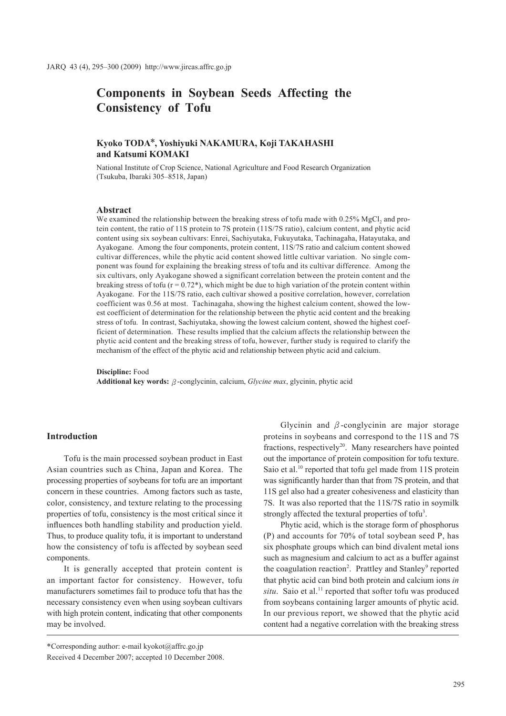# **Components in Soybean Seeds Affecting the Consistency of Tofu**

# **Kyoko TODA\*, Yoshiyuki NAKAMURA, Koji TAKAHASHI and Katsumi KOMAKI**

National Institute of Crop Science, National Agriculture and Food Research Organization (Tsukuba, Ibaraki 305–8518, Japan)

#### **Abstract**

We examined the relationship between the breaking stress of tofu made with  $0.25\%$  MgCl<sub>2</sub> and protein content, the ratio of 11S protein to 7S protein (11S/7S ratio), calcium content, and phytic acid content using six soybean cultivars: Enrei, Sachiyutaka, Fukuyutaka, Tachinagaha, Hatayutaka, and Ayakogane. Among the four components, protein content, 11S/7S ratio and calcium content showed cultivar differences, while the phytic acid content showed little cultivar variation. No single component was found for explaining the breaking stress of tofu and its cultivar difference. Among the six cultivars, only Ayakogane showed a significant correlation between the protein content and the breaking stress of tofu  $(r = 0.72*)$ , which might be due to high variation of the protein content within Ayakogane. For the 11S/7S ratio, each cultivar showed a positive correlation, however, correlation coefficient was 0.56 at most. Tachinagaha, showing the highest calcium content, showed the lowest coefficient of determination for the relationship between the phytic acid content and the breaking stress of tofu. In contrast, Sachiyutaka, showing the lowest calcium content, showed the highest coefficient of determination. These results implied that the calcium affects the relationship between the phytic acid content and the breaking stress of tofu, however, further study is required to clarify the mechanism of the effect of the phytic acid and relationship between phytic acid and calcium.

**Discipline:** Food **Additional key words:β**-conglycinin, calcium, *Glycine max*, glycinin, phytic acid

### **Introduction**

Tofu is the main processed soybean product in East Asian countries such as China, Japan and Korea. The processing properties of soybeans for tofu are an important concern in these countries. Among factors such as taste, color, consistency, and texture relating to the processing properties of tofu, consistency is the most critical since it influences both handling stability and production yield. Thus, to produce quality tofu, it is important to understand how the consistency of tofu is affected by soybean seed components.

It is generally accepted that protein content is an important factor for consistency. However, tofu manufacturers sometimes fail to produce tofu that has the necessary consistency even when using soybean cultivars with high protein content, indicating that other components may be involved.

Glycinin and **β**-conglycinin are major storage proteins in soybeans and correspond to the 11S and 7S fractions, respectively<sup>20</sup>. Many researchers have pointed out the importance of protein composition for tofu texture. Saio et al.<sup>10</sup> reported that tofu gel made from 11S protein was significantly harder than that from 7S protein, and that 11S gel also had a greater cohesiveness and elasticity than 7S. It was also reported that the 11S/7S ratio in soymilk strongly affected the textural properties of tofu<sup>3</sup>.

Phytic acid, which is the storage form of phosphorus (P) and accounts for 70% of total soybean seed P, has six phosphate groups which can bind divalent metal ions such as magnesium and calcium to act as a buffer against the coagulation reaction<sup>2</sup>. Prattley and Stanley<sup>9</sup> reported that phytic acid can bind both protein and calcium ions *in*   $situ$ . Saio et al.<sup>11</sup> reported that softer tofu was produced from soybeans containing larger amounts of phytic acid. In our previous report, we showed that the phytic acid content had a negative correlation with the breaking stress

\*Corresponding author: e-mail kyokot@affrc.go.jp Received 4 December 2007; accepted 10 December 2008.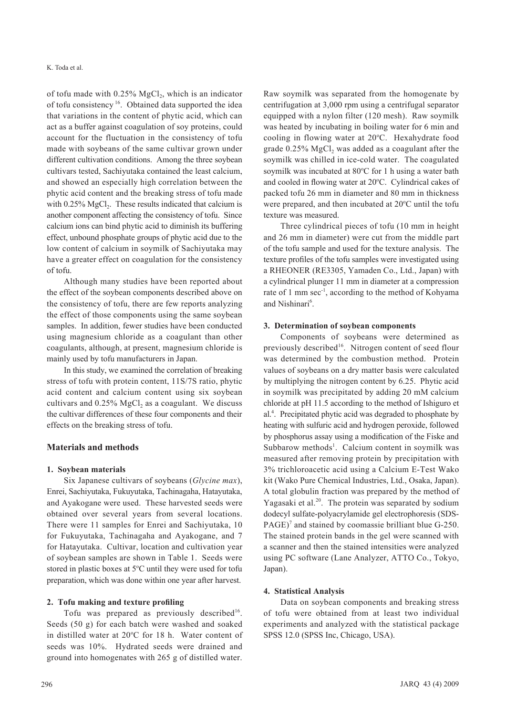of tofu made with  $0.25\%$  MgCl<sub>2</sub>, which is an indicator of tofu consistency 16. Obtained data supported the idea that variations in the content of phytic acid, which can act as a buffer against coagulation of soy proteins, could account for the fluctuation in the consistency of tofu made with soybeans of the same cultivar grown under different cultivation conditions. Among the three soybean cultivars tested, Sachiyutaka contained the least calcium, and showed an especially high correlation between the phytic acid content and the breaking stress of tofu made with  $0.25\%$  MgCl<sub>2</sub>. These results indicated that calcium is another component affecting the consistency of tofu. Since calcium ions can bind phytic acid to diminish its buffering effect, unbound phosphate groups of phytic acid due to the low content of calcium in soymilk of Sachiyutaka may have a greater effect on coagulation for the consistency of tofu.

Although many studies have been reported about the effect of the soybean components described above on the consistency of tofu, there are few reports analyzing the effect of those components using the same soybean samples. In addition, fewer studies have been conducted using magnesium chloride as a coagulant than other coagulants, although, at present, magnesium chloride is mainly used by tofu manufacturers in Japan.

In this study, we examined the correlation of breaking stress of tofu with protein content, 11S/7S ratio, phytic acid content and calcium content using six soybean cultivars and  $0.25\%$  MgCl<sub>2</sub> as a coagulant. We discuss the cultivar differences of these four components and their effects on the breaking stress of tofu.

### **Materials and methods**

#### **1. Soybean materials**

Six Japanese cultivars of soybeans (*Glycine max*), Enrei, Sachiyutaka, Fukuyutaka, Tachinagaha, Hatayutaka, and Ayakogane were used. These harvested seeds were obtained over several years from several locations. There were 11 samples for Enrei and Sachiyutaka, 10 for Fukuyutaka, Tachinagaha and Ayakogane, and 7 for Hatayutaka. Cultivar, location and cultivation year of soybean samples are shown in Table 1. Seeds were stored in plastic boxes at 5°C until they were used for tofu preparation, which was done within one year after harvest.

#### **2. Tofu making and texture profiling**

Tofu was prepared as previously described<sup>16</sup>. Seeds (50 g) for each batch were washed and soaked in distilled water at 20°C for 18 h. Water content of seeds was 10%. Hydrated seeds were drained and ground into homogenates with 265 g of distilled water.

Raw soymilk was separated from the homogenate by centrifugation at 3,000 rpm using a centrifugal separator equipped with a nylon filter (120 mesh). Raw soymilk was heated by incubating in boiling water for 6 min and cooling in flowing water at 20°C. Hexahydrate food grade  $0.25\%$  MgCl<sub>2</sub> was added as a coagulant after the soymilk was chilled in ice-cold water. The coagulated soymilk was incubated at 80°C for 1 h using a water bath and cooled in flowing water at 20°C. Cylindrical cakes of packed tofu 26 mm in diameter and 80 mm in thickness were prepared, and then incubated at 20°C until the tofu texture was measured.

Three cylindrical pieces of tofu (10 mm in height and 26 mm in diameter) were cut from the middle part of the tofu sample and used for the texture analysis. The texture profiles of the tofu samples were investigated using a RHEONER (RE3305, Yamaden Co., Ltd., Japan) with a cylindrical plunger 11 mm in diameter at a compression rate of 1 mm sec<sup>-1</sup>, according to the method of Kohyama and Nishinari<sup>6</sup>.

#### **3. Determination of soybean components**

Components of soybeans were determined as previously described<sup>16</sup>. Nitrogen content of seed flour was determined by the combustion method. Protein values of soybeans on a dry matter basis were calculated by multiplying the nitrogen content by 6.25. Phytic acid in soymilk was precipitated by adding 20 mM calcium chloride at pH 11.5 according to the method of Ishiguro et al.4 . Precipitated phytic acid was degraded to phosphate by heating with sulfuric acid and hydrogen peroxide, followed by phosphorus assay using a modification of the Fiske and Subbarow methods<sup>1</sup>. Calcium content in soymilk was measured after removing protein by precipitation with 3% trichloroacetic acid using a Calcium E-Test Wako kit (Wako Pure Chemical Industries, Ltd., Osaka, Japan). A total globulin fraction was prepared by the method of Yagasaki et al.<sup>20</sup>. The protein was separated by sodium dodecyl sulfate-polyacrylamide gel electrophoresis (SDS- $PAGE$ <sup>7</sup> and stained by coomassie brilliant blue G-250. The stained protein bands in the gel were scanned with a scanner and then the stained intensities were analyzed using PC software (Lane Analyzer, ATTO Co., Tokyo, Japan).

#### **4. Statistical Analysis**

Data on soybean components and breaking stress of tofu were obtained from at least two individual experiments and analyzed with the statistical package SPSS 12.0 (SPSS Inc, Chicago, USA).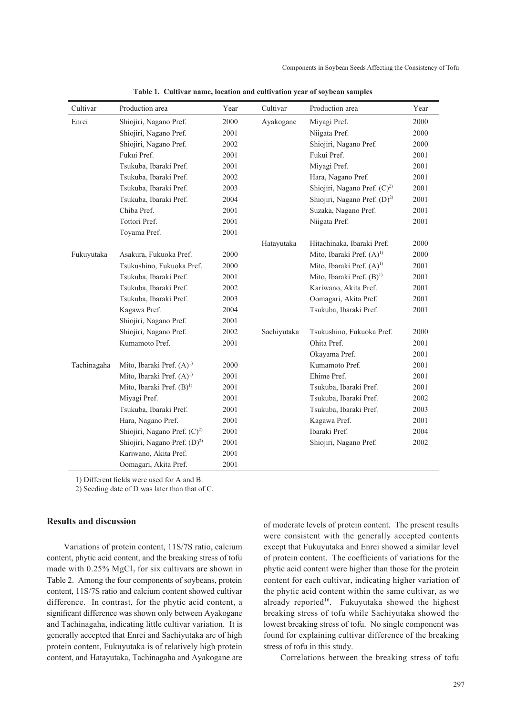| Cultivar    | Production area                         | Year | Cultivar    | Production area                          | Year |
|-------------|-----------------------------------------|------|-------------|------------------------------------------|------|
| Enrei       | Shiojiri, Nagano Pref.                  | 2000 | Ayakogane   | Miyagi Pref.                             | 2000 |
|             | Shiojiri, Nagano Pref.                  | 2001 |             | Niigata Pref.                            | 2000 |
|             | Shiojiri, Nagano Pref.                  | 2002 |             | Shiojiri, Nagano Pref.                   | 2000 |
|             | Fukui Pref.                             | 2001 |             | Fukui Pref.                              | 2001 |
|             | Tsukuba, Ibaraki Pref.                  | 2001 |             | Miyagi Pref.                             | 2001 |
|             | Tsukuba, Ibaraki Pref.                  | 2002 |             | Hara, Nagano Pref.                       | 2001 |
|             | Tsukuba, Ibaraki Pref.                  | 2003 |             | Shiojiri, Nagano Pref. $(C)^2$           | 2001 |
|             | Tsukuba, Ibaraki Pref.                  | 2004 |             | Shiojiri, Nagano Pref. (D) <sup>2)</sup> | 2001 |
|             | Chiba Pref.                             | 2001 |             | Suzaka, Nagano Pref.                     | 2001 |
|             | Tottori Pref.                           | 2001 |             | Niigata Pref.                            | 2001 |
|             | Toyama Pref.                            | 2001 |             |                                          |      |
|             |                                         |      | Hatayutaka  | Hitachinaka, Ibaraki Pref.               | 2000 |
| Fukuyutaka  | Asakura, Fukuoka Pref.                  | 2000 |             | Mito, Ibaraki Pref. $(A)$ <sup>1)</sup>  | 2000 |
|             | Tsukushino, Fukuoka Pref.               | 2000 |             | Mito, Ibaraki Pref. $(A)$ <sup>1)</sup>  | 2001 |
|             | Tsukuba, Ibaraki Pref.                  | 2001 |             | Mito, Ibaraki Pref. $(B)^{1}$            | 2001 |
|             | Tsukuba, Ibaraki Pref.                  | 2002 |             | Kariwano, Akita Pref.                    | 2001 |
|             | Tsukuba, Ibaraki Pref.                  | 2003 |             | Oomagari, Akita Pref.                    | 2001 |
|             | Kagawa Pref.                            | 2004 |             | Tsukuba, Ibaraki Pref.                   | 2001 |
|             | Shiojiri, Nagano Pref.                  | 2001 |             |                                          |      |
|             | Shiojiri, Nagano Pref.                  | 2002 | Sachiyutaka | Tsukushino, Fukuoka Pref.                | 2000 |
|             | Kumamoto Pref.                          | 2001 |             | Ohita Pref.                              | 2001 |
|             |                                         |      |             | Okayama Pref.                            | 2001 |
| Tachinagaha | Mito, Ibaraki Pref. $(A)$ <sup>1)</sup> | 2000 |             | Kumamoto Pref.                           | 2001 |
|             | Mito, Ibaraki Pref. $(A)^{1}$           | 2001 |             | Ehime Pref.                              | 2001 |
|             | Mito, Ibaraki Pref. $(B)^{1}$           | 2001 |             | Tsukuba, Ibaraki Pref.                   | 2001 |
|             | Miyagi Pref.                            | 2001 |             | Tsukuba, Ibaraki Pref.                   | 2002 |
|             | Tsukuba, Ibaraki Pref.                  | 2001 |             | Tsukuba, Ibaraki Pref.                   | 2003 |
|             | Hara, Nagano Pref.                      | 2001 |             | Kagawa Pref.                             | 2001 |
|             | Shiojiri, Nagano Pref. $(C)^2$          | 2001 |             | Ibaraki Pref.                            | 2004 |
|             | Shiojiri, Nagano Pref. $(D)^2$          | 2001 |             | Shiojiri, Nagano Pref.                   | 2002 |
|             | Kariwano, Akita Pref.                   | 2001 |             |                                          |      |
|             | Oomagari, Akita Pref.                   | 2001 |             |                                          |      |

**Table 1. Cultivar name, location and cultivation year of soybean samples** 

1) Different fields were used for A and B.

2) Seeding date of D was later than that of C.

## **Results and discussion**

Variations of protein content, 11S/7S ratio, calcium content, phytic acid content, and the breaking stress of tofu made with  $0.25\%$  MgCl<sub>2</sub> for six cultivars are shown in Table 2. Among the four components of soybeans, protein content, 11S/7S ratio and calcium content showed cultivar difference. In contrast, for the phytic acid content, a significant difference was shown only between Ayakogane and Tachinagaha, indicating little cultivar variation. It is generally accepted that Enrei and Sachiyutaka are of high protein content, Fukuyutaka is of relatively high protein content, and Hatayutaka, Tachinagaha and Ayakogane are

of moderate levels of protein content. The present results were consistent with the generally accepted contents except that Fukuyutaka and Enrei showed a similar level of protein content. The coefficients of variations for the phytic acid content were higher than those for the protein content for each cultivar, indicating higher variation of the phytic acid content within the same cultivar, as we already reported<sup>16</sup>. Fukuyutaka showed the highest breaking stress of tofu while Sachiyutaka showed the lowest breaking stress of tofu. No single component was found for explaining cultivar difference of the breaking stress of tofu in this study.

Correlations between the breaking stress of tofu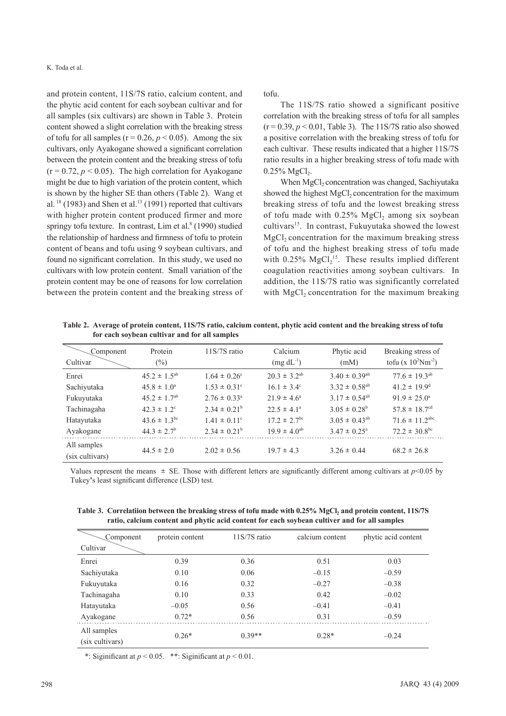and protein content, 11S/7S ratio, calcium content, and the phytic acid content for each soybean cultivar and for all samples (six cultivars) are shown in Table 3. Protein content showed a slight correlation with the breaking stress of tofu for all samples ( $r = 0.26$ ,  $p < 0.05$ ). Among the six cultivars, only Ayakogane showed a significant correlation between the protein content and the breaking stress of tofu  $(r = 0.72, p < 0.05)$ . The high correlation for Ayakogane might be due to high variation of the protein content, which is shown by the higher SE than others (Table 2). Wang et al.  $18$  (1983) and Shen et al.  $13$  (1991) reported that cultivars with higher protein content produced firmer and more springy tofu texture. In contrast, Lim et al. $8$  (1990) studied the relationship of hardness and firmness of tofu to protein content of beans and tofu using 9 soybean cultivars, and found no significant correlation. In this study, we used no cultivars with low protein content. Small variation of the protein content may be one of reasons for low correlation between the protein content and the breaking stress of tofu.

The 11S/7S ratio showed a significant positive correlation with the breaking stress of tofu for all samples  $(r = 0.39, p < 0.01$ . Table 3). The 11S/7S ratio also showed a positive correlation with the breaking stress of tofu for each cultivar. These results indicated that a higher 11S/7S ratio results in a higher breaking stress of tofu made with  $0.25\%$  MgCl<sub>2</sub>.

When MgCl<sub>2</sub> concentration was changed, Sachiyutaka showed the highest  $MgCl<sub>2</sub>$  concentration for the maximum breaking stress of tofu and the lowest breaking stress of tofu made with  $0.25\%$  MgCl<sub>2</sub> among six soybean cultivars<sup>15</sup>. In contrast, Fukuyutaka showed the lowest MgCl<sub>2</sub> concentration for the maximum breaking stress of tofu and the highest breaking stress of tofu made with  $0.25\%$  MgCl<sub>2</sub><sup>15</sup>. These results implied different coagulation reactivities among soybean cultivars. In addition, the 11S/7S ratio was significantly correlated with  $MgCl<sub>2</sub>$  concentration for the maximum breaking

**Table 2. Average of protein content, 11S/7S ratio, calcium content, phytic acid content and the breaking stress of tofu for each soybean cultivar and for all samples**

| Component<br>Cultivar          | Protein<br>$(\%)$           | $11S/7S$ ratio          | Calcium<br>$(mg dL^{-1})$    | Phytic acid<br>(mM)           | Breaking stress of<br>tofu (x $10^2$ Nm <sup>-2</sup> ) |
|--------------------------------|-----------------------------|-------------------------|------------------------------|-------------------------------|---------------------------------------------------------|
| Enrei                          | $45.2 \pm 1.5^{ab}$         | $1.64 \pm 0.26^{\circ}$ | $20.3 \pm 3.2^{ab}$          | $3.40 \pm 0.39$ <sup>ab</sup> | $77.6 \pm 19.3^{ab}$                                    |
| Sachiyutaka                    | $45.8 \pm 1.0^a$            | $1.53 \pm 0.31^{\circ}$ | $16.1 \pm 3.4^{\circ}$       | $3.32 \pm 0.58^{ab}$          | $41.2 \pm 19.9$ <sup>d</sup>                            |
| Fukuyutaka                     | $45.2 \pm 1.7^{ab}$         | $2.76 \pm 0.33^{\circ}$ | $21.9 \pm 4.6^{\circ}$       | $3.17 \pm 0.54^{ab}$          | $91.9 \pm 25.0^{\circ}$                                 |
| Tachinagaha                    | $42.3 \pm 1.2$ <sup>c</sup> | $2.34 \pm 0.21^b$       | $22.5 \pm 4.1^{\circ}$       | $3.05 \pm 0.28^b$             | $57.8 \pm 18.7$ <sup>cd</sup>                           |
| Hatayutaka                     | $43.6 \pm 1.3^{\rm bc}$     | $1.41 \pm 0.11^{\circ}$ | $17.2 \pm 2.7$ <sup>bc</sup> | $3.05 \pm 0.43^{ab}$          | $71.6 \pm 11.2$ <sup>abc</sup>                          |
| Ayakogane                      | $44.3 \pm 2.7^b$            | $2.34 \pm 0.21^b$       | $19.9 \pm 4.0^{ab}$          | $3.47 \pm 0.25^{\circ}$       | $72.2 \pm 30.8^{\rm bc}$                                |
| All samples<br>(six cultivars) | $44.5 \pm 2.0$              | $2.02 \pm 0.56$         | $19.7 \pm 4.3$               | $3.26 \pm 0.44$               | $68.2 \pm 26.8$                                         |

Values represent the means  $\pm$  SE. Those with different letters are significantly different among cultivars at  $p$ <0.05 by Tukey**'**s least significant difference (LSD) test.

Table 3. Correlatiion between the breaking stress of tofu made with 0.25% MgCl, and protein content, 11S/7S **ratio, calcium content and phytic acid content for each soybean cultiver and for all samples**

| Component                      | protein content | $11S/7S$ ratio | calcium content | phytic acid content |
|--------------------------------|-----------------|----------------|-----------------|---------------------|
| Cultivar                       |                 |                |                 |                     |
| Enrei                          | 0.39            | 0.36           | 0.51            | 0.03                |
| Sachiyutaka                    | 0.10            | 0.06           | $-0.15$         | $-0.59$             |
| Fukuyutaka                     | 0.16            | 0.32           | $-0.27$         | $-0.38$             |
| Tachinagaha                    | 0.10            | 0.33           | 0.42            | $-0.02$             |
| Hatayutaka                     | $-0.05$         | 0.56           | $-0.41$         | $-0.41$             |
| Ayakogane                      | $0.72*$         | 0.56           | 0.31            | $-0.59$             |
| All samples<br>(six cultivars) | $0.26*$         | $0.39**$       | $0.28*$         | $-0.24$             |

\*: Siginificant at  $p < 0.05$ . \*\*: Siginificant at  $p < 0.01$ .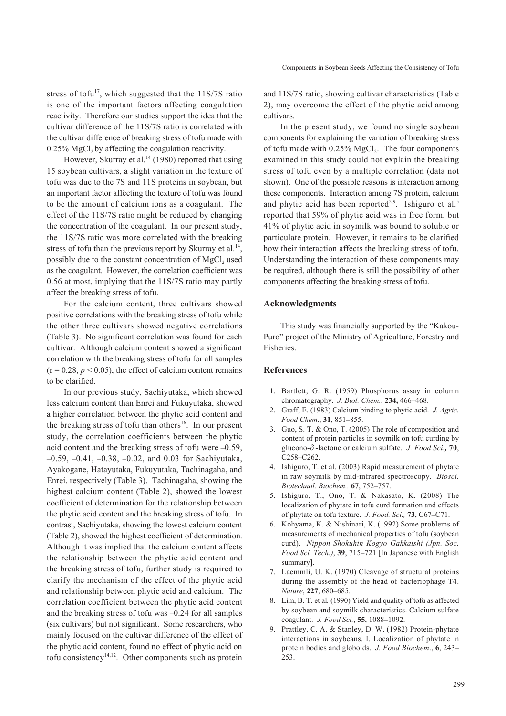stress of tofu<sup>17</sup>, which suggested that the  $11S/7S$  ratio is one of the important factors affecting coagulation reactivity. Therefore our studies support the idea that the cultivar difference of the 11S/7S ratio is correlated with the cultivar difference of breaking stress of tofu made with  $0.25\%$  MgCl<sub>2</sub> by affecting the coagulation reactivity.

However, Skurray et al.<sup>14</sup> (1980) reported that using 15 soybean cultivars, a slight variation in the texture of tofu was due to the 7S and 11S proteins in soybean, but an important factor affecting the texture of tofu was found to be the amount of calcium ions as a coagulant. The effect of the 11S/7S ratio might be reduced by changing the concentration of the coagulant. In our present study, the 11S/7S ratio was more correlated with the breaking stress of tofu than the previous report by Skurray et al.<sup>14</sup>, possibly due to the constant concentration of MgCl<sub>2</sub> used as the coagulant. However, the correlation coefficient was 0.56 at most, implying that the 11S/7S ratio may partly affect the breaking stress of tofu.

For the calcium content, three cultivars showed positive correlations with the breaking stress of tofu while the other three cultivars showed negative correlations (Table 3). No significant correlation was found for each cultivar. Although calcium content showed a significant correlation with the breaking stress of tofu for all samples  $(r = 0.28, p < 0.05)$ , the effect of calcium content remains to be clarified.

In our previous study, Sachiyutaka, which showed less calcium content than Enrei and Fukuyutaka, showed a higher correlation between the phytic acid content and the breaking stress of tofu than others<sup>16</sup>. In our present study, the correlation coefficients between the phytic acid content and the breaking stress of tofu were –0.59, –0.59, –0.41, –0.38, –0.02, and 0.03 for Sachiyutaka, Ayakogane, Hatayutaka, Fukuyutaka, Tachinagaha, and Enrei, respectively (Table 3). Tachinagaha, showing the highest calcium content (Table 2), showed the lowest coefficient of determination for the relationship between the phytic acid content and the breaking stress of tofu. In contrast, Sachiyutaka, showing the lowest calcium content (Table 2), showed the highest coefficient of determination. Although it was implied that the calcium content affects the relationship between the phytic acid content and the breaking stress of tofu, further study is required to clarify the mechanism of the effect of the phytic acid and relationship between phytic acid and calcium. The correlation coefficient between the phytic acid content and the breaking stress of tofu was –0.24 for all samples (six cultivars) but not significant. Some researchers, who mainly focused on the cultivar difference of the effect of the phytic acid content, found no effect of phytic acid on tofu consistency<sup>14,12</sup>. Other components such as protein

and 11S/7S ratio, showing cultivar characteristics (Table 2), may overcome the effect of the phytic acid among cultivars.

In the present study, we found no single soybean components for explaining the variation of breaking stress of tofu made with  $0.25\%$  MgCl<sub>2</sub>. The four components examined in this study could not explain the breaking stress of tofu even by a multiple correlation (data not shown). One of the possible reasons is interaction among these components. Interaction among 7S protein, calcium and phytic acid has been reported<sup>2,9</sup>. Ishiguro et al.<sup>5</sup> reported that 59% of phytic acid was in free form, but 41% of phytic acid in soymilk was bound to soluble or particulate protein. However, it remains to be clarified how their interaction affects the breaking stress of tofu. Understanding the interaction of these components may be required, although there is still the possibility of other components affecting the breaking stress of tofu.

# **Acknowledgments**

This study was financially supported by the "Kakou-Puro" project of the Ministry of Agriculture, Forestry and Fisheries.

#### **References**

- 1. Bartlett, G. R. (1959) Phosphorus assay in column chromatography. *J. Biol. Chem.*, **234,** 466–468.
- 2. Graff, E. (1983) Calcium binding to phytic acid. *J. Agric. Food Chem*., **31**, 851–855.
- 3. Guo, S. T. & Ono, T. (2005) The role of composition and content of protein particles in soymilk on tofu curding by glucono-**δ**-lactone or calcium sulfate. *J. Food Sci.,* **70**, C258–C262.
- 4. Ishiguro, T. et al. (2003) Rapid measurement of phytate in raw soymilk by mid-infrared spectroscopy. *Biosci. Biotechnol. Biochem.,* **67**, 752–757.
- 5. Ishiguro, T., Ono, T. & Nakasato, K. (2008) The localization of phytate in tofu curd formation and effects of phytate on tofu texture. *J. Food. Sci.,* **73**, C67–C71.
- 6. Kohyama, K. & Nishinari, K. (1992) Some problems of measurements of mechanical properties of tofu (soybean curd). *Nippon Shokuhin Kogyo Gakkaishi (Jpn. Soc. Food Sci. Tech.)*, **39**, 715–721 [In Japanese with English summary].
- 7. Laemmli, U. K. (1970) Cleavage of structural proteins during the assembly of the head of bacteriophage T4. *Nature*, **227**, 680–685.
- 8. Lim, B. T. et al*.* (1990) Yield and quality of tofu as affected by soybean and soymilk characteristics. Calcium sulfate coagulant. *J. Food Sci.*, **55**, 1088–1092.
- Prattley, C. A. & Stanley, D. W. (1982) Protein-phytate interactions in soybeans. I. Localization of phytate in protein bodies and globoids. *J. Food Biochem*., **6**, 243– 253.